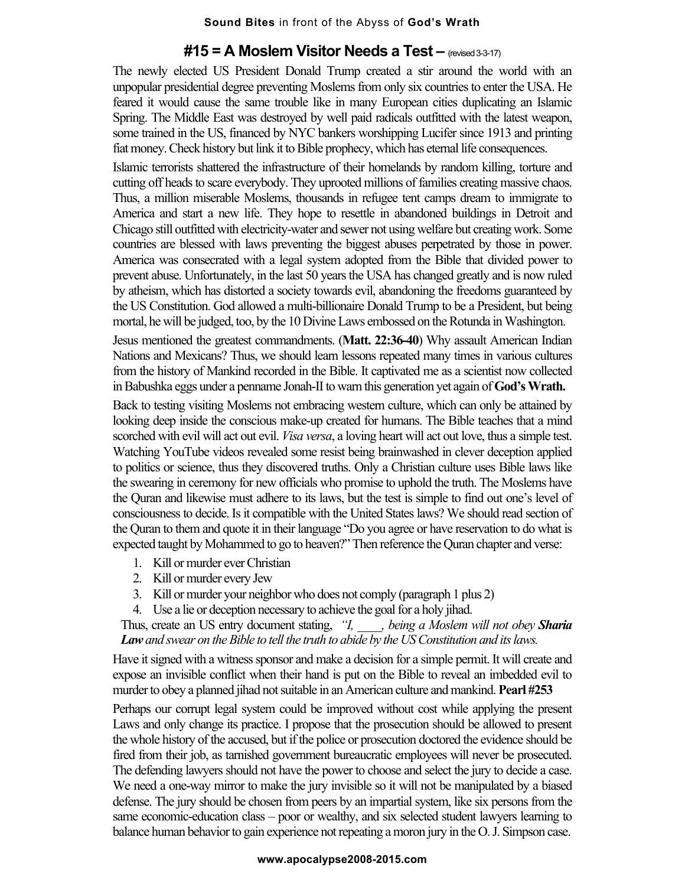## **#15 = A Moslem Visitor Needs a Test –** (revised 3-3-17)

The newly elected US President Donald Trump created a stir around the world with an unpopular presidential degree preventing Moslems from only six countries to enter the USA. He feared it would cause the same trouble like in many European cities duplicating an Islamic Spring. The Middle East was destroyed by well paid radicals outfitted with the latest weapon, some trained in the US, financed by NYC bankers worshipping Lucifer since 1913 and printing fiat money. Check history but link it to Bible prophecy, which has eternal life consequences.

Islamic terrorists shattered the infrastructure of their homelands by random killing, torture and cutting off heads to scare everybody. They uprooted millions of families creating massive chaos. Thus, a million miserable Moslems, thousands in refugee tent camps dream to immigrate to America and start a new life. They hope to resettle in abandoned buildings in Detroit and Chicago still outfitted with electricity-water and sewer not using welfare but creating work. Some countries are blessed with laws preventing the biggest abuses perpetrated by those in power. America was consecrated with a legal system adopted from the Bible that divided power to prevent abuse. Unfortunately, in the last 50 years the USA has changed greatly and is now ruled by atheism, which has distorted a society towards evil, abandoning the freedoms guaranteed by the US Constitution. God allowed a multi-billionaire Donald Trump to be a President, but being mortal, he will be judged, too, by the 10 Divine Laws embossed on the Rotunda in Washington.

Jesus mentioned the greatest commandments. (**Matt. 22:36-40**) Why assault American Indian Nations and Mexicans? Thus, we should learn lessons repeated many times in various cultures from the history of Mankind recorded in the Bible. It captivated me as a scientist now collected in Babushka eggs under a penname Jonah-II to warn this generation yet again of **God's Wrath.**

Back to testing visiting Moslems not embracing western culture, which can only be attained by looking deep inside the conscious make-up created for humans. The Bible teaches that a mind scorched with evil will act out evil. *Visa versa*, a loving heart will act out love, thus a simple test. Watching YouTube videos revealed some resist being brainwashed in clever deception applied to politics or science, thus they discovered truths. Only a Christian culture uses Bible laws like the swearing in ceremony for new officials who promise to uphold the truth. The Moslems have the Quran and likewise must adhere to its laws, but the test is simple to find out one's level of consciousness to decide. Is it compatible with the United States laws? We should read section of the Quran to them and quote it in their language "Do you agree or have reservation to do what is expected taught by Mohammed to go to heaven?" Then reference the Quran chapter and verse:

- 1. Kill or murder ever Christian
- 2. Kill or murder every Jew
- 3. Kill or murder your neighbor who does not comply (paragraph 1 plus 2)
- 4. Use a lie or deception necessary to achieve the goal for a holy jihad.

Thus, create an US entry document stating, *"I, \_\_\_\_, being a Moslem will not obey Sharia Lawand swear on the Bible to tell the truth to abide by the US Constitution and its laws.*

Have it signed with a witness sponsor and make a decision for a simple permit. It will create and expose an invisible conflict when their hand is put on the Bible to reveal an imbedded evil to murder to obey a planned jihad not suitable in an American culture and mankind. **Pearl #253**

Perhaps our corrupt legal system could be improved without cost while applying the present Laws and only change its practice. I propose that the prosecution should be allowed to present the whole history of the accused, but if the police or prosecution doctored the evidence should be fired from their job, as tarnished government bureaucratic employees will never be prosecuted. The defending lawyers should not have the power to choose and select the jury to decide a case. We need a one-way mirror to make the jury invisible so it will not be manipulated by a biased defense. The jury should be chosen from peers by an impartial system, like six persons from the same economic-education class – poor or wealthy, and six selected student lawyers learning to balance human behavior to gain experience not repeating a moron jury in the O. J. Simpson case.